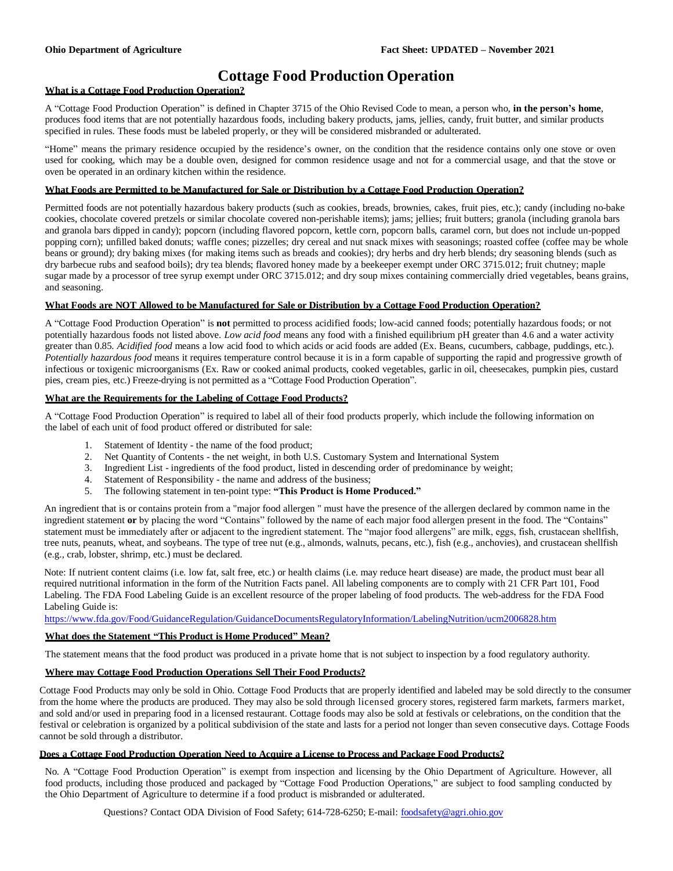## **Cottage Food Production Operation**

#### **What is a Cottage Food Production Operation?**

A "Cottage Food Production Operation" is defined in Chapter 3715 of the Ohio Revised Code to mean, a person who, **in the person's home**, produces food items that are not potentially hazardous foods, including bakery products, jams, jellies, candy, fruit butter, and similar products specified in rules. These foods must be labeled properly, or they will be considered misbranded or adulterated.

"Home" means the primary residence occupied by the residence's owner, on the condition that the residence contains only one stove or oven used for cooking, which may be a double oven, designed for common residence usage and not for a commercial usage, and that the stove or oven be operated in an ordinary kitchen within the residence.

#### **What Foods are Permitted to be Manufactured for Sale or Distribution by a Cottage Food Production Operation?**

Permitted foods are not potentially hazardous bakery products (such as cookies, breads, brownies, cakes, fruit pies, etc.); candy (including no-bake cookies, chocolate covered pretzels or similar chocolate covered non-perishable items); jams; jellies; fruit butters; granola (including granola bars and granola bars dipped in candy); popcorn (including flavored popcorn, kettle corn, popcorn balls, caramel corn, but does not include un-popped popping corn); unfilled baked donuts; waffle cones; pizzelles; dry cereal and nut snack mixes with seasonings; roasted coffee (coffee may be whole beans or ground); dry baking mixes (for making items such as breads and cookies); dry herbs and dry herb blends; dry seasoning blends (such as dry barbecue rubs and seafood boils); dry tea blends; flavored honey made by a beekeeper exempt under ORC 3715.012; fruit chutney; maple sugar made by a processor of tree syrup exempt under ORC 3715.012; and dry soup mixes containing commercially dried vegetables, beans grains, and seasoning.

#### **What Foods are NOT Allowed to be Manufactured for Sale or Distribution by a Cottage Food Production Operation?**

A "Cottage Food Production Operation" is **not** permitted to process acidified foods; low-acid canned foods; potentially hazardous foods; or not potentially hazardous foods not listed above. *Low acid food* means any food with a finished equilibrium pH greater than 4.6 and a water activity greater than 0.85. *Acidified food* means a low acid food to which acids or acid foods are added (Ex. Beans, cucumbers, cabbage, puddings, etc.). *Potentially hazardous food* means it requires temperature control because it is in a form capable of supporting the rapid and progressive growth of infectious or toxigenic microorganisms (Ex. Raw or cooked animal products, cooked vegetables, garlic in oil, cheesecakes, pumpkin pies, custard pies, cream pies, etc.) Freeze-drying is not permitted as a "Cottage Food Production Operation".

#### **What are the Requirements for the Labeling of Cottage Food Products?**

A "Cottage Food Production Operation" is required to label all of their food products properly, which include the following information on the label of each unit of food product offered or distributed for sale:

- 1. Statement of Identity the name of the food product;
- 2. Net Quantity of Contents the net weight, in both U.S. Customary System and International System
- 3. Ingredient List ingredients of the food product, listed in descending order of predominance by weight;
- 4. Statement of Responsibility the name and address of the business;
- 5. The following statement in ten-point type: **"This Product is Home Produced."**

An ingredient that is or contains protein from a "major food allergen " must have the presence of the allergen declared by common name in the ingredient statement **or** by placing the word "Contains" followed by the name of each major food allergen present in the food. The "Contains" statement must be immediately after or adjacent to the ingredient statement. The "major food allergens" are milk, eggs, fish, crustacean shellfish, tree nuts, peanuts, wheat, and soybeans. The type of tree nut (e.g., almonds, walnuts, pecans, etc.), fish (e.g., anchovies), and crustacean shellfish (e.g., crab, lobster, shrimp, etc.) must be declared.

Note: If nutrient content claims (i.e. low fat, salt free, etc.) or health claims (i.e. may reduce heart disease) are made, the product must bear all required nutritional information in the form of the Nutrition Facts panel. All labeling components are to comply with 21 CFR Part 101, Food Labeling. The FDA Food Labeling Guide is an excellent resource of the proper labeling of food products. The web-address for the FDA Food Labeling Guide is:

<https://www.fda.gov/Food/GuidanceRegulation/GuidanceDocumentsRegulatoryInformation/LabelingNutrition/ucm2006828.htm>

#### **What does the Statement "This Product is Home Produced" Mean?**

The statement means that the food product was produced in a private home that is not subject to inspection by a food regulatory authority.

#### **Where may Cottage Food Production Operations Sell Their Food Products?**

Cottage Food Products may only be sold in Ohio. Cottage Food Products that are properly identified and labeled may be sold directly to the consumer from the home where the products are produced. They may also be sold through licensed grocery stores, registered farm markets, farmers market, and sold and/or used in preparing food in a licensed restaurant. Cottage foods may also be sold at festivals or celebrations, on the condition that the festival or celebration is organized by a political subdivision of the state and lasts for a period not longer than seven consecutive days. Cottage Foods cannot be sold through a distributor.

#### **Does a Cottage Food Production Operation Need to Acquire a License to Process and Package Food Products?**

No. A "Cottage Food Production Operation" is exempt from inspection and licensing by the Ohio Department of Agriculture. However, all food products, including those produced and packaged by "Cottage Food Production Operations," are subject to food sampling conducted by the Ohio Department of Agriculture to determine if a food product is misbranded or adulterated.

Questions? Contact ODA Division of Food Safety; 614-728-6250; E-mail: [foodsafety@agri.ohio.gov](mailto:foodsafety@agri.ohio.gov)